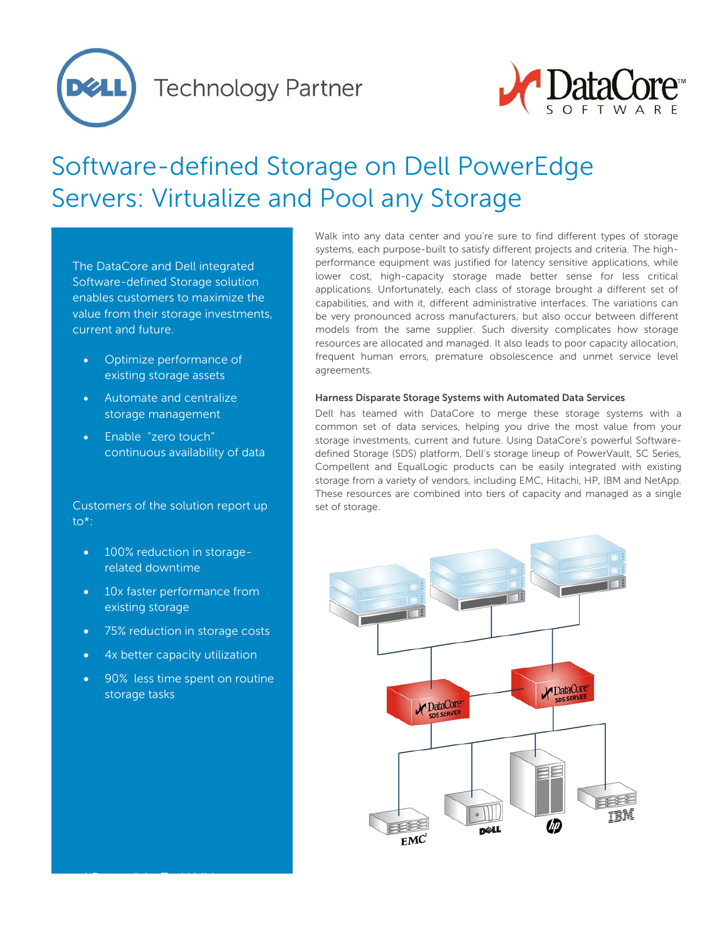

**Technology Partner** 



# Software-defined Storage on Dell PowerEdge Servers: Virtualize and Pool any Storage

The DataCore and Dell integrated Software-defined Storage solution enables customers to maximize the value from their storage investments, current and future.

- Optimize performance of existing storage assets
- Automate and centralize storage management
- Enable "zero touch" continuous availability of data

Customers of the solution report up to\*:

- 100% reduction in storagerelated downtime
- 10x faster performance from existing storage
- 75% reduction in storage costs
- 4x better capacity utilization

 $\ddot{\phantom{a}}$  research by TechValidate by Tech $\ddot{\phantom{a}}$ 

 90% less time spent on routine storage tasks

Walk into any data center and you're sure to find different types of storage systems, each purpose-built to satisfy different projects and criteria. The highperformance equipment was justified for latency sensitive applications, while lower cost, high-capacity storage made better sense for less critical applications. Unfortunately, each class of storage brought a different set of capabilities, and with it, different administrative interfaces. The variations can be very pronounced across manufacturers, but also occur between different models from the same supplier. Such diversity complicates how storage resources are allocated and managed. It also leads to poor capacity allocation, frequent human errors, premature obsolescence and unmet service level agreements.

# **Harness Disparate Storage Systems with Automated Data Services**

Dell has teamed with DataCore to merge these storage systems with a common set of data services, helping you drive the most value from your storage investments, current and future. Using DataCore's powerful Softwaredefined Storage (SDS) platform, Dell's storage lineup of PowerVault, SC Series, Compellent and EqualLogic products can be easily integrated with existing storage from a variety of vendors, including EMC, Hitachi, HP, IBM and NetApp. These resources are combined into tiers of capacity and managed as a single set of storage.